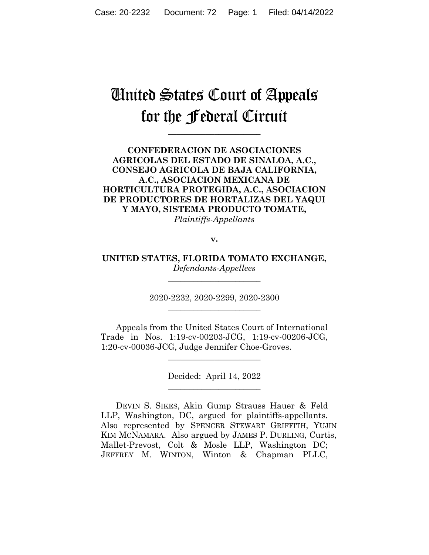# United States Court of Appeals for the Federal Circuit

**\_\_\_\_\_\_\_\_\_\_\_\_\_\_\_\_\_\_\_\_\_\_** 

# **CONFEDERACION DE ASOCIACIONES AGRICOLAS DEL ESTADO DE SINALOA, A.C., CONSEJO AGRICOLA DE BAJA CALIFORNIA, A.C., ASOCIACION MEXICANA DE HORTICULTURA PROTEGIDA, A.C., ASOCIACION DE PRODUCTORES DE HORTALIZAS DEL YAQUI Y MAYO, SISTEMA PRODUCTO TOMATE,**

*Plaintiffs-Appellants*

**v.**

**UNITED STATES, FLORIDA TOMATO EXCHANGE,** *Defendants-Appellees*

**\_\_\_\_\_\_\_\_\_\_\_\_\_\_\_\_\_\_\_\_\_\_** 

2020-2232, 2020-2299, 2020-2300 **\_\_\_\_\_\_\_\_\_\_\_\_\_\_\_\_\_\_\_\_\_\_** 

Appeals from the United States Court of International Trade in Nos. 1:19-cv-00203-JCG, 1:19-cv-00206-JCG, 1:20-cv-00036-JCG, Judge Jennifer Choe-Groves.

 $\overline{\phantom{a}}$  , where  $\overline{\phantom{a}}$  , where  $\overline{\phantom{a}}$  , where  $\overline{\phantom{a}}$ 

Decided: April 14, 2022  $\overline{\phantom{a}}$  , where  $\overline{\phantom{a}}$  , where  $\overline{\phantom{a}}$  , where  $\overline{\phantom{a}}$ 

DEVIN S. SIKES, Akin Gump Strauss Hauer & Feld LLP, Washington, DC, argued for plaintiffs-appellants. Also represented by SPENCER STEWART GRIFFITH, YUJIN KIM MCNAMARA. Also argued by JAMES P. DURLING, Curtis, Mallet-Prevost, Colt & Mosle LLP, Washington DC; JEFFREY M. WINTON, Winton & Chapman PLLC,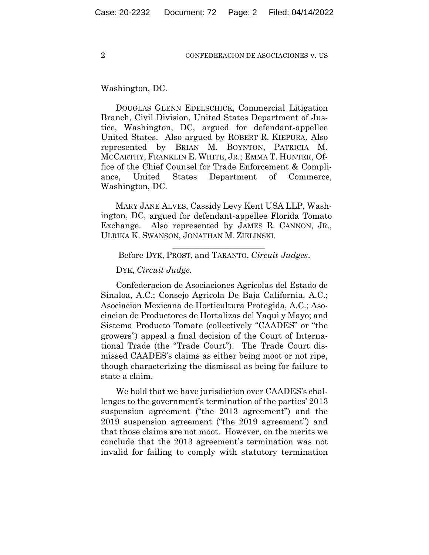Washington, DC.

DOUGLAS GLENN EDELSCHICK, Commercial Litigation Branch, Civil Division, United States Department of Justice, Washington, DC, argued for defendant-appellee United States. Also argued by ROBERT R. KIEPURA. Also represented by BRIAN M. BOYNTON, PATRICIA M. MCCARTHY, FRANKLIN E. WHITE, JR.; EMMA T. HUNTER, Office of the Chief Counsel for Trade Enforcement & Compliance, United States Department of Commerce, Washington, DC.

MARY JANE ALVES, Cassidy Levy Kent USA LLP, Washington, DC, argued for defendant-appellee Florida Tomato Exchange. Also represented by JAMES R. CANNON, JR., ULRIKA K. SWANSON, JONATHAN M. ZIELINSKI.

## $\overline{\phantom{a}}$  , we can assume that the contract of  $\overline{\phantom{a}}$ Before DYK, PROST, and TARANTO, *Circuit Judges*.

## DYK, *Circuit Judge.*

Confederacion de Asociaciones Agricolas del Estado de Sinaloa, A.C.; Consejo Agricola De Baja California, A.C.; Asociacion Mexicana de Horticultura Protegida, A.C.; Asociacion de Productores de Hortalizas del Yaqui y Mayo; and Sistema Producto Tomate (collectively "CAADES" or "the growers") appeal a final decision of the Court of International Trade (the "Trade Court"). The Trade Court dismissed CAADES's claims as either being moot or not ripe, though characterizing the dismissal as being for failure to state a claim.

We hold that we have jurisdiction over CAADES's challenges to the government's termination of the parties' 2013 suspension agreement ("the 2013 agreement") and the 2019 suspension agreement ("the 2019 agreement") and that those claims are not moot. However, on the merits we conclude that the 2013 agreement's termination was not invalid for failing to comply with statutory termination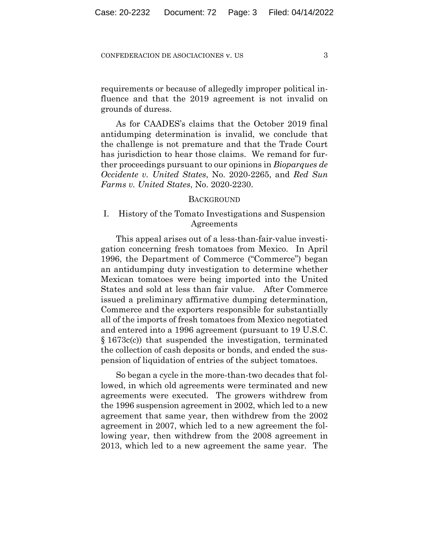requirements or because of allegedly improper political influence and that the 2019 agreement is not invalid on grounds of duress.

As for CAADES's claims that the October 2019 final antidumping determination is invalid, we conclude that the challenge is not premature and that the Trade Court has jurisdiction to hear those claims. We remand for further proceedings pursuant to our opinions in *Bioparques de Occidente v. United States*, No. 2020-2265, and *Red Sun Farms v. United States*, No. 2020-2230.

#### **BACKGROUND**

# I. History of the Tomato Investigations and Suspension Agreements

This appeal arises out of a less-than-fair-value investigation concerning fresh tomatoes from Mexico.In April 1996, the Department of Commerce ("Commerce") began an antidumping duty investigation to determine whether Mexican tomatoes were being imported into the United States and sold at less than fair value. After Commerce issued a preliminary affirmative dumping determination, Commerce and the exporters responsible for substantially all of the imports of fresh tomatoes from Mexico negotiated and entered into a 1996 agreement (pursuant to 19 U.S.C. § 1673c(c)) that suspended the investigation, terminated the collection of cash deposits or bonds, and ended the suspension of liquidation of entries of the subject tomatoes.

So began a cycle in the more-than-two decades that followed, in which old agreements were terminated and new agreements were executed. The growers withdrew from the 1996 suspension agreement in 2002, which led to a new agreement that same year, then withdrew from the 2002 agreement in 2007, which led to a new agreement the following year, then withdrew from the 2008 agreement in 2013, which led to a new agreement the same year. The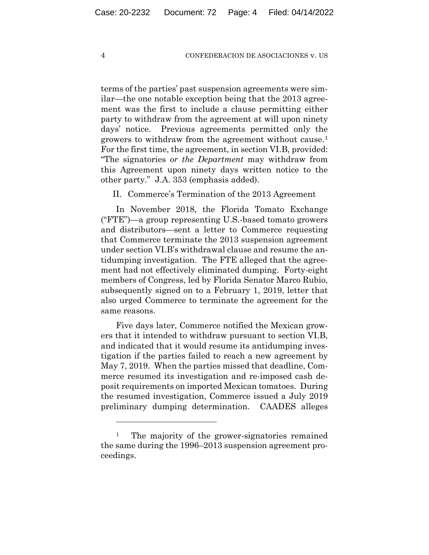terms of the parties' past suspension agreements were similar—the one notable exception being that the 2013 agreement was the first to include a clause permitting either party to withdraw from the agreement at will upon ninety days' notice. Previous agreements permitted only the growers to withdraw from the agreement without cause.1 For the first time, the agreement, in section VI.B, provided: "The signatories *or the Department* may withdraw from this Agreement upon ninety days written notice to the other party." J.A. 353 (emphasis added).

II. Commerce's Termination of the 2013 Agreement

In November 2018, the Florida Tomato Exchange ("FTE")—a group representing U.S.-based tomato growers and distributors—sent a letter to Commerce requesting that Commerce terminate the 2013 suspension agreement under section VI.B's withdrawal clause and resume the antidumping investigation. The FTE alleged that the agreement had not effectively eliminated dumping. Forty-eight members of Congress, led by Florida Senator Marco Rubio, subsequently signed on to a February 1, 2019, letter that also urged Commerce to terminate the agreement for the same reasons.

Five days later, Commerce notified the Mexican growers that it intended to withdraw pursuant to section VI.B, and indicated that it would resume its antidumping investigation if the parties failed to reach a new agreement by May 7, 2019. When the parties missed that deadline, Commerce resumed its investigation and re-imposed cash deposit requirements on imported Mexican tomatoes.During the resumed investigation, Commerce issued a July 2019 preliminary dumping determination. CAADES alleges

<sup>&</sup>lt;sup>1</sup> The majority of the grower-signatories remained the same during the 1996–2013 suspension agreement proceedings.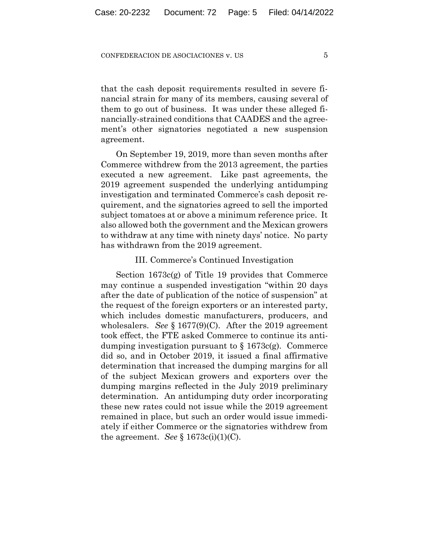that the cash deposit requirements resulted in severe financial strain for many of its members, causing several of them to go out of business. It was under these alleged financially-strained conditions that CAADES and the agreement's other signatories negotiated a new suspension agreement.

On September 19, 2019, more than seven months after Commerce withdrew from the 2013 agreement, the parties executed a new agreement. Like past agreements, the 2019 agreement suspended the underlying antidumping investigation and terminated Commerce's cash deposit requirement, and the signatories agreed to sell the imported subject tomatoes at or above a minimum reference price. It also allowed both the government and the Mexican growers to withdraw at any time with ninety days' notice. No party has withdrawn from the 2019 agreement.

## III. Commerce's Continued Investigation

Section 1673c(g) of Title 19 provides that Commerce may continue a suspended investigation "within 20 days after the date of publication of the notice of suspension" at the request of the foreign exporters or an interested party, which includes domestic manufacturers, producers, and wholesalers. *See* § 1677(9)(C). After the 2019 agreement took effect, the FTE asked Commerce to continue its antidumping investigation pursuant to  $\S 1673c(g)$ . Commerce did so, and in October 2019, it issued a final affirmative determination that increased the dumping margins for all of the subject Mexican growers and exporters over the dumping margins reflected in the July 2019 preliminary determination. An antidumping duty order incorporating these new rates could not issue while the 2019 agreement remained in place, but such an order would issue immediately if either Commerce or the signatories withdrew from the agreement. *See*  $\S$  1673c(i)(1)(C).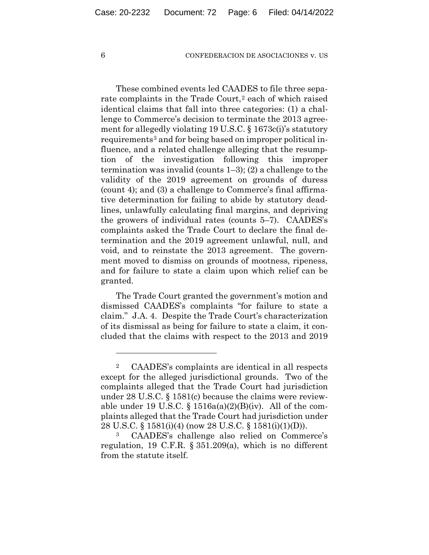These combined events led CAADES to file three separate complaints in the Trade Court,<sup>2</sup> each of which raised identical claims that fall into three categories: (1) a challenge to Commerce's decision to terminate the 2013 agreement for allegedly violating 19 U.S.C. § 1673c(i)'s statutory requirements<sup>3</sup> and for being based on improper political influence, and a related challenge alleging that the resumption of the investigation following this improper termination was invalid (counts 1–3); (2) a challenge to the validity of the 2019 agreement on grounds of duress (count 4); and (3) a challenge to Commerce's final affirmative determination for failing to abide by statutory deadlines, unlawfully calculating final margins, and depriving the growers of individual rates (counts 5–7). CAADES's complaints asked the Trade Court to declare the final determination and the 2019 agreement unlawful, null, and void, and to reinstate the 2013 agreement. The government moved to dismiss on grounds of mootness, ripeness, and for failure to state a claim upon which relief can be granted.

The Trade Court granted the government's motion and dismissed CAADES's complaints "for failure to state a claim." J.A. 4. Despite the Trade Court's characterization of its dismissal as being for failure to state a claim, it concluded that the claims with respect to the 2013 and 2019

<sup>2</sup> CAADES's complaints are identical in all respects except for the alleged jurisdictional grounds. Two of the complaints alleged that the Trade Court had jurisdiction under 28 U.S.C. § 1581(c) because the claims were reviewable under 19 U.S.C.  $\S$  1516a(a)(2)(B)(iv). All of the complaints alleged that the Trade Court had jurisdiction under 28 U.S.C. § 1581(i)(4) (now 28 U.S.C. § 1581(i)(1)(D)).

CAADES's challenge also relied on Commerce's regulation, 19 C.F.R. § 351.209(a), which is no different from the statute itself.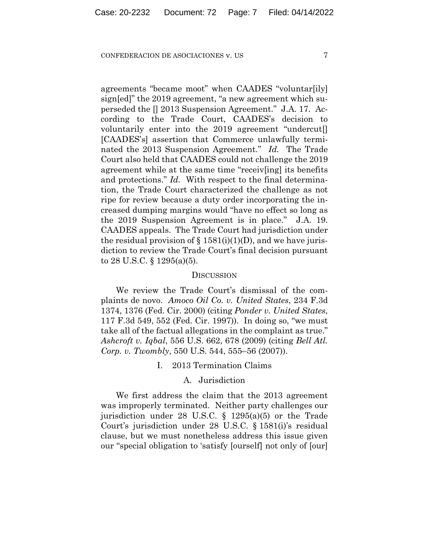agreements "became moot" when CAADES "voluntar[ily] sign[ed]" the 2019 agreement, "a new agreement which superseded the [] 2013 Suspension Agreement." J.A. 17. According to the Trade Court, CAADES's decision to voluntarily enter into the 2019 agreement "undercut[] [CAADES's] assertion that Commerce unlawfully terminated the 2013 Suspension Agreement." *Id.* The Trade Court also held that CAADES could not challenge the 2019 agreement while at the same time "receiv[ing] its benefits and protections." *Id.* With respect to the final determination, the Trade Court characterized the challenge as not ripe for review because a duty order incorporating the increased dumping margins would "have no effect so long as the 2019 Suspension Agreement is in place." J.A. 19. CAADES appeals. The Trade Court had jurisdiction under the residual provision of  $\S$  1581(i)(1)(D), and we have jurisdiction to review the Trade Court's final decision pursuant to 28 U.S.C. § 1295(a)(5).

#### **DISCUSSION**

We review the Trade Court's dismissal of the complaints de novo. *Amoco Oil Co. v. United States*, 234 F.3d 1374, 1376 (Fed. Cir. 2000) (citing *Ponder v. United States*, 117 F.3d 549, 552 (Fed. Cir. 1997)). In doing so, "we must take all of the factual allegations in the complaint as true." *Ashcroft v. Iqbal*, 556 U.S. 662, 678 (2009) (citing *Bell Atl. Corp. v. Twombly*, 550 U.S. 544, 555–56 (2007)).

I. 2013 Termination Claims

## A. Jurisdiction

We first address the claim that the 2013 agreement was improperly terminated. Neither party challenges our jurisdiction under 28 U.S.C. § 1295(a)(5) or the Trade Court's jurisdiction under 28 U.S.C. § 1581(i)'s residual clause, but we must nonetheless address this issue given our "special obligation to 'satisfy [ourself] not only of [our]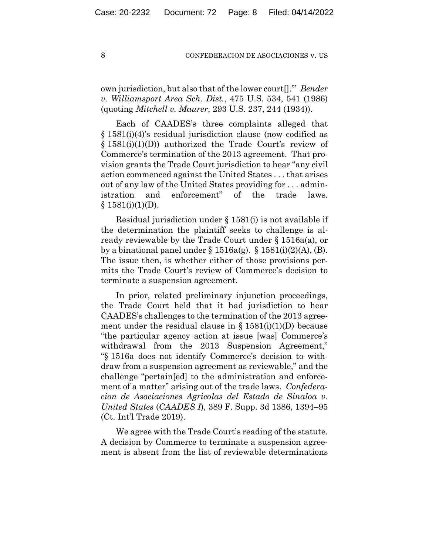own jurisdiction, but also that of the lower court[].'" *Bender v. Williamsport Area Sch. Dist.*, 475 U.S. 534, 541 (1986) (quoting *Mitchell v. Maurer*, 293 U.S. 237, 244 (1934)).

Each of CAADES's three complaints alleged that § 1581(i)(4)'s residual jurisdiction clause (now codified as § 1581(i)(1)(D)) authorized the Trade Court's review of Commerce's termination of the 2013 agreement. That provision grants the Trade Court jurisdiction to hear "any civil action commenced against the United States . . . that arises out of any law of the United States providing for . . . administration and enforcement" of the trade laws.  $§ 1581(i)(1)(D).$ 

Residual jurisdiction under § 1581(i) is not available if the determination the plaintiff seeks to challenge is already reviewable by the Trade Court under § 1516a(a), or by a binational panel under  $\S 1516a(g)$ .  $\S 1581(i)(2)(A)$ , (B). The issue then, is whether either of those provisions permits the Trade Court's review of Commerce's decision to terminate a suspension agreement.

In prior, related preliminary injunction proceedings, the Trade Court held that it had jurisdiction to hear CAADES's challenges to the termination of the 2013 agreement under the residual clause in  $\S 1581(i)(1)(D)$  because "the particular agency action at issue [was] Commerce's withdrawal from the 2013 Suspension Agreement," "§ 1516a does not identify Commerce's decision to withdraw from a suspension agreement as reviewable," and the challenge "pertain[ed] to the administration and enforcement of a matter" arising out of the trade laws. *Confederacion de Asociaciones Agricolas del Estado de Sinaloa v. United States* (*CAADES I*), 389 F. Supp. 3d 1386, 1394–95 (Ct. Int'l Trade 2019).

We agree with the Trade Court's reading of the statute. A decision by Commerce to terminate a suspension agreement is absent from the list of reviewable determinations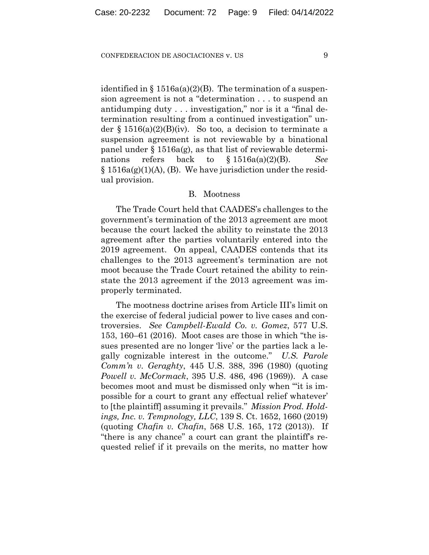identified in  $\S 1516a(a)(2)(B)$ . The termination of a suspension agreement is not a "determination . . . to suspend an antidumping duty . . . investigation," nor is it a "final determination resulting from a continued investigation" under § 1516(a)(2)(B)(iv). So too, a decision to terminate a suspension agreement is not reviewable by a binational panel under  $\S 1516a(g)$ , as that list of reviewable determinations refers back to § 1516a(a)(2)(B). *See*  $\S 1516a(g)(1)(A)$ , (B). We have jurisdiction under the residual provision.

## B. Mootness

The Trade Court held that CAADES's challenges to the government's termination of the 2013 agreement are moot because the court lacked the ability to reinstate the 2013 agreement after the parties voluntarily entered into the 2019 agreement. On appeal, CAADES contends that its challenges to the 2013 agreement's termination are not moot because the Trade Court retained the ability to reinstate the 2013 agreement if the 2013 agreement was improperly terminated.

The mootness doctrine arises from Article III's limit on the exercise of federal judicial power to live cases and controversies. *See Campbell-Ewald Co. v. Gomez*, 577 U.S. 153, 160–61 (2016). Moot cases are those in which "the issues presented are no longer 'live' or the parties lack a legally cognizable interest in the outcome." *U.S. Parole Comm'n v. Geraghty*, 445 U.S. 388, 396 (1980) (quoting *Powell v. McCormack*, 395 U.S. 486, 496 (1969)). A case becomes moot and must be dismissed only when "'it is impossible for a court to grant any effectual relief whatever' to [the plaintiff] assuming it prevails." *Mission Prod. Holdings, Inc. v. Tempnology, LLC*, 139 S. Ct. 1652, 1660 (2019) (quoting *Chafin v. Chafin*, 568 U.S. 165, 172 (2013)). If "there is any chance" a court can grant the plaintiff's requested relief if it prevails on the merits, no matter how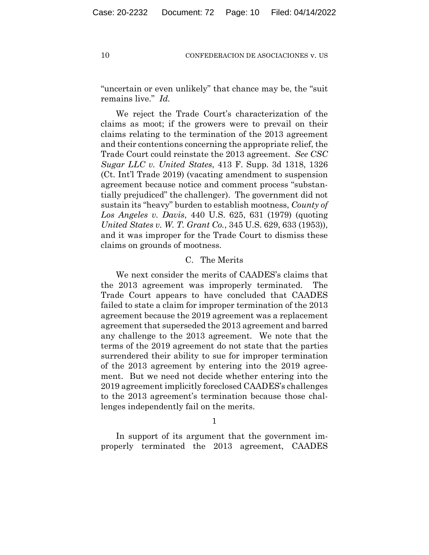"uncertain or even unlikely" that chance may be, the "suit remains live." *Id.*

We reject the Trade Court's characterization of the claims as moot; if the growers were to prevail on their claims relating to the termination of the 2013 agreement and their contentions concerning the appropriate relief, the Trade Court could reinstate the 2013 agreement. *See CSC Sugar LLC v. United States*, 413 F. Supp. 3d 1318, 1326 (Ct. Int'l Trade 2019) (vacating amendment to suspension agreement because notice and comment process "substantially prejudiced" the challenger). The government did not sustain its "heavy" burden to establish mootness, *County of Los Angeles v. Davis*, 440 U.S. 625, 631 (1979) (quoting *United States v. W. T. Grant Co.*, 345 U.S. 629, 633 (1953)), and it was improper for the Trade Court to dismiss these claims on grounds of mootness.

## C. The Merits

We next consider the merits of CAADES's claims that the 2013 agreement was improperly terminated. The Trade Court appears to have concluded that CAADES failed to state a claim for improper termination of the 2013 agreement because the 2019 agreement was a replacement agreement that superseded the 2013 agreement and barred any challenge to the 2013 agreement. We note that the terms of the 2019 agreement do not state that the parties surrendered their ability to sue for improper termination of the 2013 agreement by entering into the 2019 agreement. But we need not decide whether entering into the 2019 agreement implicitly foreclosed CAADES's challenges to the 2013 agreement's termination because those challenges independently fail on the merits.

1

In support of its argument that the government improperly terminated the 2013 agreement, CAADES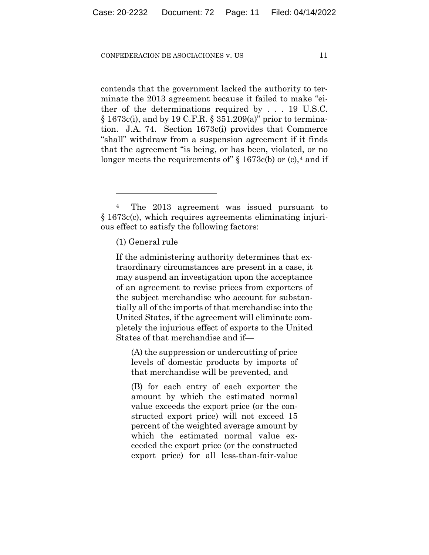contends that the government lacked the authority to terminate the 2013 agreement because it failed to make "either of the determinations required by . . . 19 U.S.C. § 1673c(i), and by 19 C.F.R. § 351.209(a)" prior to termination. J.A. 74. Section 1673c(i) provides that Commerce "shall" withdraw from a suspension agreement if it finds that the agreement "is being, or has been, violated, or no longer meets the requirements of"  $\S 1673c(b)$  or (c),<sup>4</sup> and if

If the administering authority determines that extraordinary circumstances are present in a case, it may suspend an investigation upon the acceptance of an agreement to revise prices from exporters of the subject merchandise who account for substantially all of the imports of that merchandise into the United States, if the agreement will eliminate completely the injurious effect of exports to the United States of that merchandise and if—

(A) the suppression or undercutting of price levels of domestic products by imports of that merchandise will be prevented, and

(B) for each entry of each exporter the amount by which the estimated normal value exceeds the export price (or the constructed export price) will not exceed 15 percent of the weighted average amount by which the estimated normal value exceeded the export price (or the constructed export price) for all less-than-fair-value

<sup>&</sup>lt;sup>4</sup> The 2013 agreement was issued pursuant to § 1673c(c), which requires agreements eliminating injurious effect to satisfy the following factors:

<sup>(1)</sup> General rule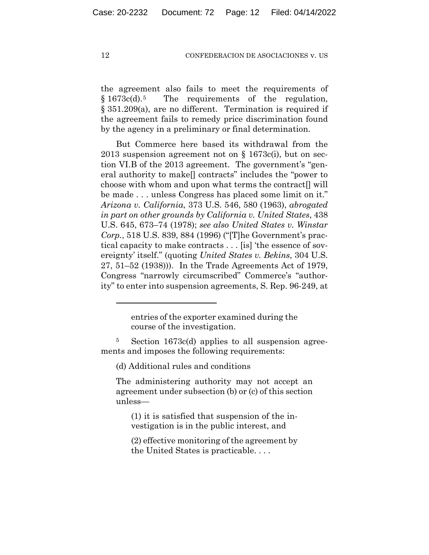the agreement also fails to meet the requirements of § 1673c(d).5 The requirements of the regulation, § 351.209(a), are no different. Termination is required if the agreement fails to remedy price discrimination found by the agency in a preliminary or final determination.

But Commerce here based its withdrawal from the 2013 suspension agreement not on  $\S 1673c(i)$ , but on section VI.B of the 2013 agreement. The government's "general authority to make[] contracts" includes the "power to choose with whom and upon what terms the contract[] will be made . . . unless Congress has placed some limit on it." *Arizona v. California*, 373 U.S. 546, 580 (1963), *abrogated in part on other grounds by California v. United States*, 438 U.S. 645, 673–74 (1978); *see also United States v. Winstar Corp.*, 518 U.S. 839, 884 (1996) ("[T]he Government's practical capacity to make contracts . . . [is] 'the essence of sovereignty' itself." (quoting *United States v. Bekins*, 304 U.S. 27, 51–52 (1938))). In the Trade Agreements Act of 1979, Congress "narrowly circumscribed" Commerce's "authority" to enter into suspension agreements, S. Rep. 96-249, at

(d) Additional rules and conditions

The administering authority may not accept an agreement under subsection (b) or (c) of this section unless—

(1) it is satisfied that suspension of the investigation is in the public interest, and

(2) effective monitoring of the agreement by the United States is practicable. . . .

entries of the exporter examined during the course of the investigation.

<sup>5</sup> Section 1673c(d) applies to all suspension agreements and imposes the following requirements: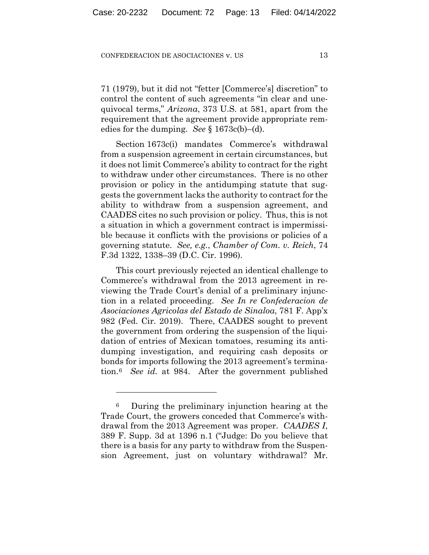71 (1979), but it did not "fetter [Commerce's] discretion" to control the content of such agreements "in clear and unequivocal terms," *Arizona*, 373 U.S. at 581, apart from the requirement that the agreement provide appropriate remedies for the dumping. *See* § 1673c(b)–(d).

Section 1673c(i) mandates Commerce's withdrawal from a suspension agreement in certain circumstances, but it does not limit Commerce's ability to contract for the right to withdraw under other circumstances. There is no other provision or policy in the antidumping statute that suggests the government lacks the authority to contract for the ability to withdraw from a suspension agreement, and CAADES cites no such provision or policy. Thus, this is not a situation in which a government contract is impermissible because it conflicts with the provisions or policies of a governing statute. *See, e.g.*, *Chamber of Com. v. Reich*, 74 F.3d 1322, 1338–39 (D.C. Cir. 1996).

This court previously rejected an identical challenge to Commerce's withdrawal from the 2013 agreement in reviewing the Trade Court's denial of a preliminary injunction in a related proceeding. *See In re Confederacion de Asociaciones Agricolas del Estado de Sinaloa*, 781 F. App'x 982 (Fed. Cir. 2019). There, CAADES sought to prevent the government from ordering the suspension of the liquidation of entries of Mexican tomatoes, resuming its antidumping investigation, and requiring cash deposits or bonds for imports following the 2013 agreement's termination.6 *See id.* at 984. After the government published

<sup>6</sup> During the preliminary injunction hearing at the Trade Court, the growers conceded that Commerce's withdrawal from the 2013 Agreement was proper. *CAADES I*, 389 F. Supp. 3d at 1396 n.1 ("Judge: Do you believe that there is a basis for any party to withdraw from the Suspension Agreement, just on voluntary withdrawal? Mr.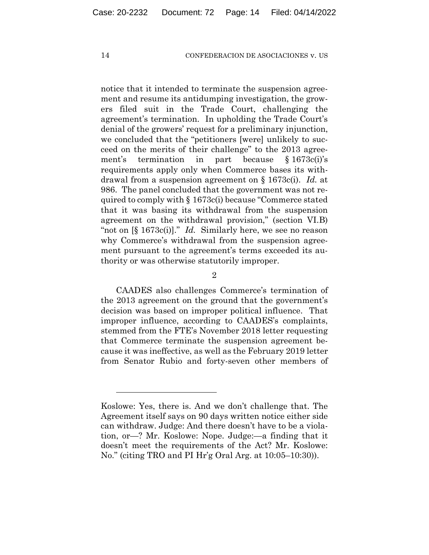notice that it intended to terminate the suspension agreement and resume its antidumping investigation, the growers filed suit in the Trade Court, challenging the agreement's termination. In upholding the Trade Court's denial of the growers' request for a preliminary injunction, we concluded that the "petitioners [were] unlikely to succeed on the merits of their challenge" to the 2013 agreement's termination in part because § 1673c(i)'s requirements apply only when Commerce bases its withdrawal from a suspension agreement on § 1673c(i). *Id.* at 986. The panel concluded that the government was not required to comply with § 1673c(i) because "Commerce stated that it was basing its withdrawal from the suspension agreement on the withdrawal provision," (section VI.B) "not on [§ 1673c(i)]." *Id.* Similarly here, we see no reason why Commerce's withdrawal from the suspension agreement pursuant to the agreement's terms exceeded its authority or was otherwise statutorily improper.

2

CAADES also challenges Commerce's termination of the 2013 agreement on the ground that the government's decision was based on improper political influence. That improper influence, according to CAADES's complaints, stemmed from the FTE's November 2018 letter requesting that Commerce terminate the suspension agreement because it was ineffective, as well as the February 2019 letter from Senator Rubio and forty-seven other members of

Koslowe: Yes, there is. And we don't challenge that. The Agreement itself says on 90 days written notice either side can withdraw. Judge: And there doesn't have to be a violation, or—? Mr. Koslowe: Nope. Judge:—a finding that it doesn't meet the requirements of the Act? Mr. Koslowe: No." (citing TRO and PI Hr'g Oral Arg. at 10:05–10:30)).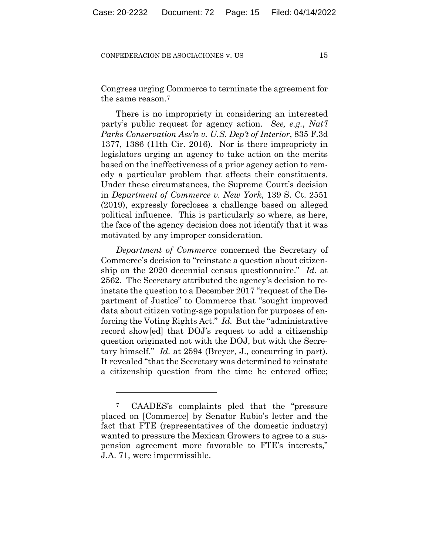Congress urging Commerce to terminate the agreement for the same reason.7

There is no impropriety in considering an interested party's public request for agency action. *See, e.g.*, *Nat'l Parks Conservation Ass'n v. U.S. Dep't of Interior*, 835 F.3d 1377, 1386 (11th Cir. 2016). Nor is there impropriety in legislators urging an agency to take action on the merits based on the ineffectiveness of a prior agency action to remedy a particular problem that affects their constituents. Under these circumstances, the Supreme Court's decision in *Department of Commerce v. New York*, 139 S. Ct. 2551 (2019), expressly forecloses a challenge based on alleged political influence. This is particularly so where, as here, the face of the agency decision does not identify that it was motivated by any improper consideration.

*Department of Commerce* concerned the Secretary of Commerce's decision to "reinstate a question about citizenship on the 2020 decennial census questionnaire." *Id.* at 2562. The Secretary attributed the agency's decision to reinstate the question to a December 2017 "request of the Department of Justice" to Commerce that "sought improved data about citizen voting-age population for purposes of enforcing the Voting Rights Act." *Id.* But the "administrative record show[ed] that DOJ's request to add a citizenship question originated not with the DOJ, but with the Secretary himself." *Id.* at 2594 (Breyer, J., concurring in part). It revealed "that the Secretary was determined to reinstate a citizenship question from the time he entered office;

<sup>7</sup> CAADES's complaints pled that the "pressure placed on [Commerce] by Senator Rubio's letter and the fact that FTE (representatives of the domestic industry) wanted to pressure the Mexican Growers to agree to a suspension agreement more favorable to FTE's interests," J.A. 71, were impermissible.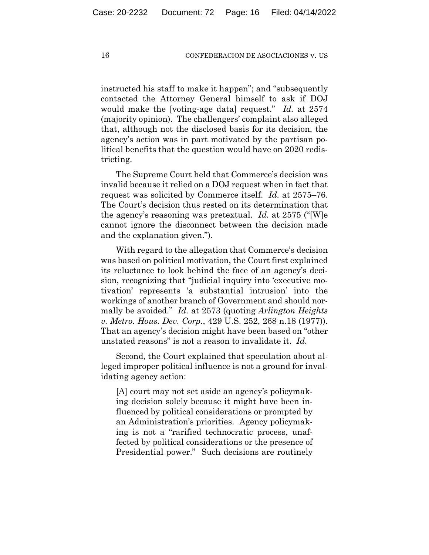instructed his staff to make it happen"; and "subsequently contacted the Attorney General himself to ask if DOJ would make the [voting-age data] request." *Id.* at 2574 (majority opinion). The challengers' complaint also alleged that, although not the disclosed basis for its decision, the agency's action was in part motivated by the partisan political benefits that the question would have on 2020 redistricting.

The Supreme Court held that Commerce's decision was invalid because it relied on a DOJ request when in fact that request was solicited by Commerce itself. *Id.* at 2575–76. The Court's decision thus rested on its determination that the agency's reasoning was pretextual. *Id.* at 2575 ("[W]e cannot ignore the disconnect between the decision made and the explanation given.").

With regard to the allegation that Commerce's decision was based on political motivation, the Court first explained its reluctance to look behind the face of an agency's decision, recognizing that "judicial inquiry into 'executive motivation' represents 'a substantial intrusion' into the workings of another branch of Government and should normally be avoided." *Id.* at 2573 (quoting *Arlington Heights v. Metro. Hous. Dev. Corp.*, 429 U.S. 252, 268 n.18 (1977)). That an agency's decision might have been based on "other unstated reasons" is not a reason to invalidate it. *Id.*

Second, the Court explained that speculation about alleged improper political influence is not a ground for invalidating agency action:

[A] court may not set aside an agency's policymaking decision solely because it might have been influenced by political considerations or prompted by an Administration's priorities. Agency policymaking is not a "rarified technocratic process, unaffected by political considerations or the presence of Presidential power." Such decisions are routinely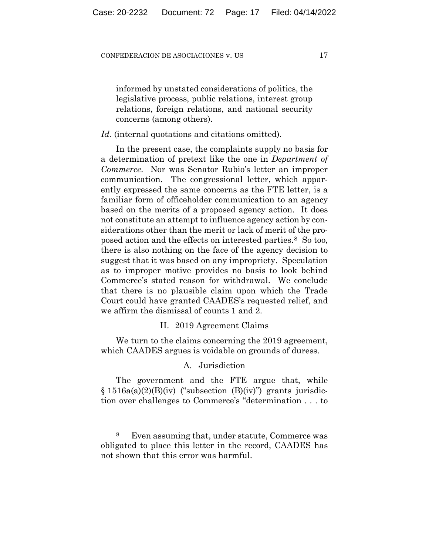informed by unstated considerations of politics, the legislative process, public relations, interest group relations, foreign relations, and national security concerns (among others).

## *Id.* (internal quotations and citations omitted).

In the present case, the complaints supply no basis for a determination of pretext like the one in *Department of Commerce*. Nor was Senator Rubio's letter an improper communication. The congressional letter, which apparently expressed the same concerns as the FTE letter, is a familiar form of officeholder communication to an agency based on the merits of a proposed agency action. It does not constitute an attempt to influence agency action by considerations other than the merit or lack of merit of the proposed action and the effects on interested parties.8 So too, there is also nothing on the face of the agency decision to suggest that it was based on any impropriety. Speculation as to improper motive provides no basis to look behind Commerce's stated reason for withdrawal. We conclude that there is no plausible claim upon which the Trade Court could have granted CAADES's requested relief, and we affirm the dismissal of counts 1 and 2.

## II. 2019 Agreement Claims

We turn to the claims concerning the 2019 agreement, which CAADES argues is voidable on grounds of duress.

## A. Jurisdiction

The government and the FTE argue that, while  $\S 1516a(a)(2)(B)(iv)$  ("subsection  $(B)(iv)$ ") grants jurisdiction over challenges to Commerce's "determination . . . to

<sup>8</sup> Even assuming that, under statute, Commerce was obligated to place this letter in the record, CAADES has not shown that this error was harmful.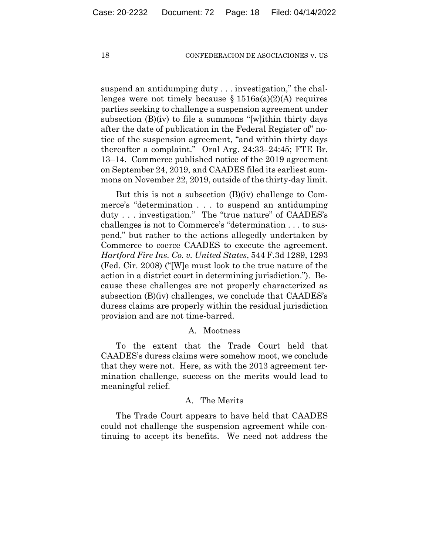suspend an antidumping duty . . . investigation," the challenges were not timely because  $\S 1516a(a)(2)(A)$  requires parties seeking to challenge a suspension agreement under subsection (B)(iv) to file a summons "[w]ithin thirty days after the date of publication in the Federal Register of" notice of the suspension agreement, "and within thirty days thereafter a complaint." Oral Arg. 24:33–24:45; FTE Br. 13–14. Commerce published notice of the 2019 agreement on September 24, 2019, and CAADES filed its earliest summons on November 22, 2019, outside of the thirty-day limit.

But this is not a subsection (B)(iv) challenge to Commerce's "determination . . . to suspend an antidumping duty . . . investigation." The "true nature" of CAADES's challenges is not to Commerce's "determination . . . to suspend," but rather to the actions allegedly undertaken by Commerce to coerce CAADES to execute the agreement. *Hartford Fire Ins. Co. v. United States*, 544 F.3d 1289, 1293 (Fed. Cir. 2008) ("[W]e must look to the true nature of the action in a district court in determining jurisdiction."). Because these challenges are not properly characterized as subsection (B)(iv) challenges, we conclude that CAADES's duress claims are properly within the residual jurisdiction provision and are not time-barred.

## A. Mootness

To the extent that the Trade Court held that CAADES's duress claims were somehow moot, we conclude that they were not. Here, as with the 2013 agreement termination challenge, success on the merits would lead to meaningful relief.

## A. The Merits

The Trade Court appears to have held that CAADES could not challenge the suspension agreement while continuing to accept its benefits. We need not address the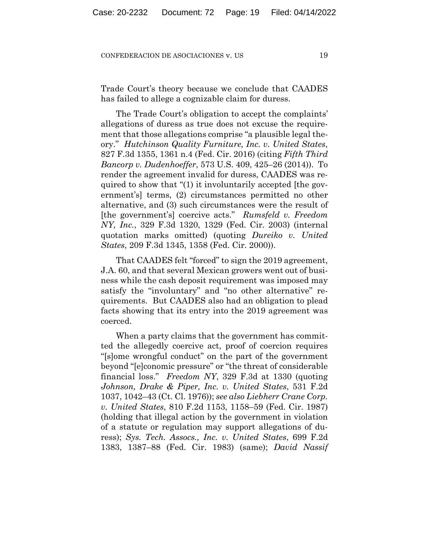Trade Court's theory because we conclude that CAADES has failed to allege a cognizable claim for duress.

The Trade Court's obligation to accept the complaints' allegations of duress as true does not excuse the requirement that those allegations comprise "a plausible legal theory." *Hutchinson Quality Furniture, Inc. v. United States*, 827 F.3d 1355, 1361 n.4 (Fed. Cir. 2016) (citing *Fifth Third Bancorp v. Dudenhoeffer*, 573 U.S. 409, 425–26 (2014)). To render the agreement invalid for duress, CAADES was required to show that "(1) it involuntarily accepted [the government's] terms, (2) circumstances permitted no other alternative, and (3) such circumstances were the result of [the government's] coercive acts." *Rumsfeld v. Freedom NY, Inc.*, 329 F.3d 1320, 1329 (Fed. Cir. 2003) (internal quotation marks omitted) (quoting *Dureiko v. United States*, 209 F.3d 1345, 1358 (Fed. Cir. 2000)).

That CAADES felt "forced" to sign the 2019 agreement, J.A. 60, and that several Mexican growers went out of business while the cash deposit requirement was imposed may satisfy the "involuntary" and "no other alternative" requirements. But CAADES also had an obligation to plead facts showing that its entry into the 2019 agreement was coerced.

When a party claims that the government has committed the allegedly coercive act, proof of coercion requires "[s]ome wrongful conduct" on the part of the government beyond "[e]conomic pressure" or "the threat of considerable financial loss." *Freedom NY*, 329 F.3d at 1330 (quoting *Johnson, Drake & Piper, Inc. v. United States*, 531 F.2d 1037, 1042–43 (Ct. Cl. 1976)); *see also Liebherr Crane Corp. v. United States*, 810 F.2d 1153, 1158–59 (Fed. Cir. 1987) (holding that illegal action by the government in violation of a statute or regulation may support allegations of duress); *Sys. Tech. Assocs., Inc. v. United States*, 699 F.2d 1383, 1387–88 (Fed. Cir. 1983) (same); *David Nassif*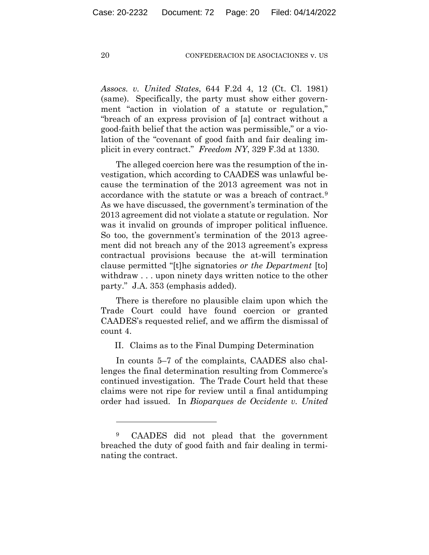*Assocs. v. United States*, 644 F.2d 4, 12 (Ct. Cl. 1981) (same). Specifically, the party must show either government "action in violation of a statute or regulation," "breach of an express provision of [a] contract without a good-faith belief that the action was permissible," or a violation of the "covenant of good faith and fair dealing implicit in every contract." *Freedom NY*, 329 F.3d at 1330.

The alleged coercion here was the resumption of the investigation, which according to CAADES was unlawful because the termination of the 2013 agreement was not in accordance with the statute or was a breach of contract.9 As we have discussed, the government's termination of the 2013 agreement did not violate a statute or regulation. Nor was it invalid on grounds of improper political influence. So too, the government's termination of the 2013 agreement did not breach any of the 2013 agreement's express contractual provisions because the at-will termination clause permitted "[t]he signatories *or the Department* [to] withdraw . . . upon ninety days written notice to the other party." J.A. 353 (emphasis added).

There is therefore no plausible claim upon which the Trade Court could have found coercion or granted CAADES's requested relief, and we affirm the dismissal of count 4.

II. Claims as to the Final Dumping Determination

In counts 5–7 of the complaints, CAADES also challenges the final determination resulting from Commerce's continued investigation. The Trade Court held that these claims were not ripe for review until a final antidumping order had issued. In *Bioparques de Occidente v. United* 

<sup>9</sup> CAADES did not plead that the government breached the duty of good faith and fair dealing in terminating the contract.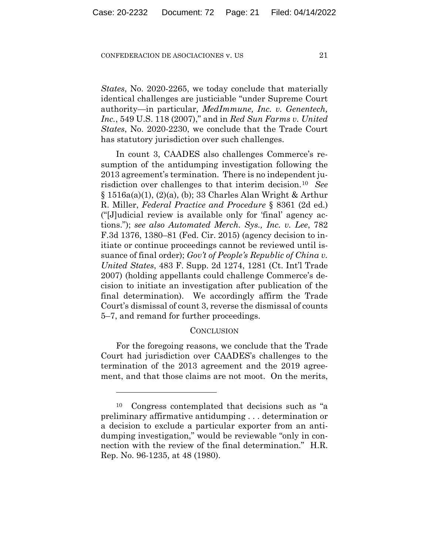*States*, No. 2020-2265, we today conclude that materially identical challenges are justiciable "under Supreme Court authority—in particular, *MedImmune, Inc. v. Genentech, Inc.*, 549 U.S. 118 (2007)," and in *Red Sun Farms v. United States*, No. 2020-2230, we conclude that the Trade Court has statutory jurisdiction over such challenges.

In count 3, CAADES also challenges Commerce's resumption of the antidumping investigation following the 2013 agreement's termination. There is no independent jurisdiction over challenges to that interim decision.10 *See* § 1516a(a)(1), (2)(a), (b); 33 Charles Alan Wright & Arthur R. Miller, *Federal Practice and Procedure* § 8361 (2d ed.) ("[J]udicial review is available only for 'final' agency actions."); *see also Automated Merch. Sys., Inc. v. Lee*, 782 F.3d 1376, 1380–81 (Fed. Cir. 2015) (agency decision to initiate or continue proceedings cannot be reviewed until issuance of final order); *Gov't of People's Republic of China v. United States*, 483 F. Supp. 2d 1274, 1281 (Ct. Int'l Trade 2007) (holding appellants could challenge Commerce's decision to initiate an investigation after publication of the final determination). We accordingly affirm the Trade Court's dismissal of count 3, reverse the dismissal of counts 5–7, and remand for further proceedings.

## **CONCLUSION**

For the foregoing reasons, we conclude that the Trade Court had jurisdiction over CAADES's challenges to the termination of the 2013 agreement and the 2019 agreement, and that those claims are not moot. On the merits,

<sup>10</sup> Congress contemplated that decisions such as "a preliminary affirmative antidumping . . . determination or a decision to exclude a particular exporter from an antidumping investigation," would be reviewable "only in connection with the review of the final determination." H.R. Rep. No. 96-1235, at 48 (1980).